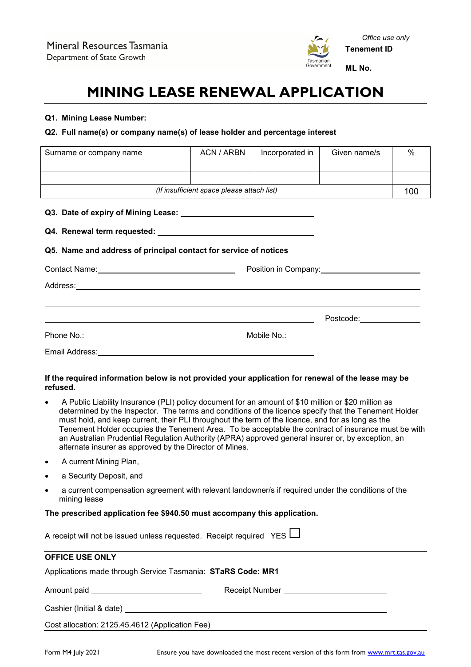

# **MINING LEASE RENEWAL APPLICATION**

#### **Q1. Mining Lease Number:**

#### **Q2. Full name(s) or company name(s) of lease holder and percentage interest**

| Surname or company name                    | ACN / ARBN | Incorporated in | Given name/s | % |
|--------------------------------------------|------------|-----------------|--------------|---|
|                                            |            |                 |              |   |
|                                            |            |                 |              |   |
| (If insufficient space please attach list) |            |                 | 100          |   |
|                                            |            |                 |              |   |

#### **Q3. Date of expiry of Mining Lease:**

#### **Q4. Renewal term requested:**

## **Q5. Name and address of principal contact for service of notices**

|                | Position in Company:                          |  |
|----------------|-----------------------------------------------|--|
|                |                                               |  |
|                | Postcode: <u>__________</u>                   |  |
|                | Mobile No.:__________________________________ |  |
| Email Address: |                                               |  |

## **If the required information below is not provided your application for renewal of the lease may be refused.**

- A Public Liability Insurance (PLI) policy document for an amount of \$10 million or \$20 million as determined by the Inspector. The terms and conditions of the licence specify that the Tenement Holder must hold, and keep current, their PLI throughout the term of the licence, and for as long as the Tenement Holder occupies the Tenement Area. To be acceptable the contract of insurance must be with an Australian Prudential Regulation Authority (APRA) approved general insurer or, by exception, an alternate insurer as approved by the Director of Mines.
- A current Mining Plan,
- a Security Deposit, and
- a current compensation agreement with relevant landowner/s if required under the conditions of the mining lease

## **The prescribed application fee \$940.50 must accompany this application.**

| A receipt will not be issued unless requested. Receipt required YES $\Box$ |  |  |
|----------------------------------------------------------------------------|--|--|
|                                                                            |  |  |

| <b>OFFICE USE ONLY</b>                                      |                                     |  |
|-------------------------------------------------------------|-------------------------------------|--|
| Applications made through Service Tasmania: STaRS Code: MR1 |                                     |  |
| Amount paid __________________________________              | Receipt Number ____________________ |  |
| Cashier (Initial & date) Cashier (Initial & date)           |                                     |  |
| Cost allocation: 2125.45.4612 (Application Fee)             |                                     |  |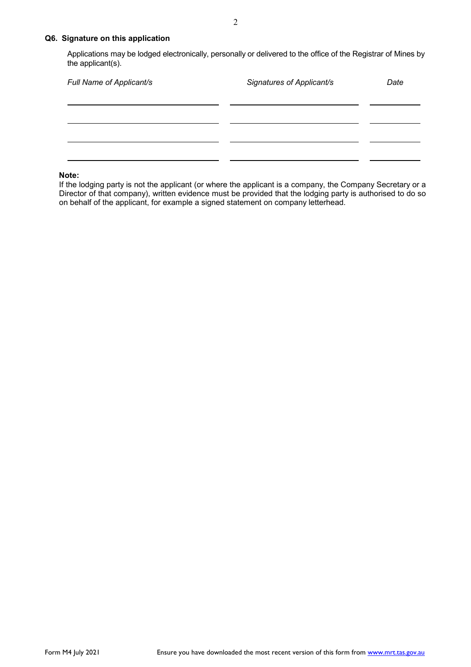## **Q6. Signature on this application**

Applications may be lodged electronically, personally or delivered to the office of the Registrar of Mines by the applicant(s).

| Full Name of Applicant/s | Signatures of Applicant/s | Date |
|--------------------------|---------------------------|------|
|                          |                           |      |
|                          |                           |      |
|                          |                           |      |

#### **Note:**

If the lodging party is not the applicant (or where the applicant is a company, the Company Secretary or a Director of that company), written evidence must be provided that the lodging party is authorised to do so on behalf of the applicant, for example a signed statement on company letterhead.